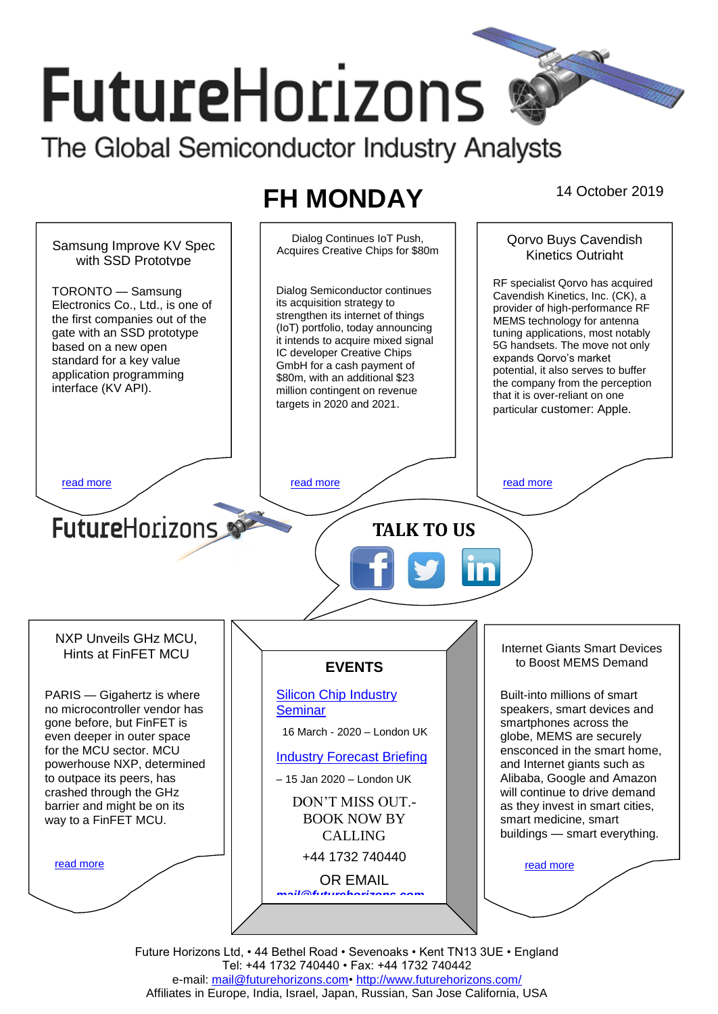# **FutureHorizons**

The Global Semiconductor Industry Analysts

## **FH MONDAY** 14 October 2019



Future Horizons Ltd, • 44 Bethel Road • Sevenoaks • Kent TN13 3UE • England Tel: +44 1732 740440 • Fax: +44 1732 740442 e-mail: [mail@futurehorizons.com•](../FH%20Monday%20-%202017/mail@futurehorizons.com)<http://www.futurehorizons.com/> Affiliates in Europe, India, Israel, Japan, Russian, San Jose California, USA